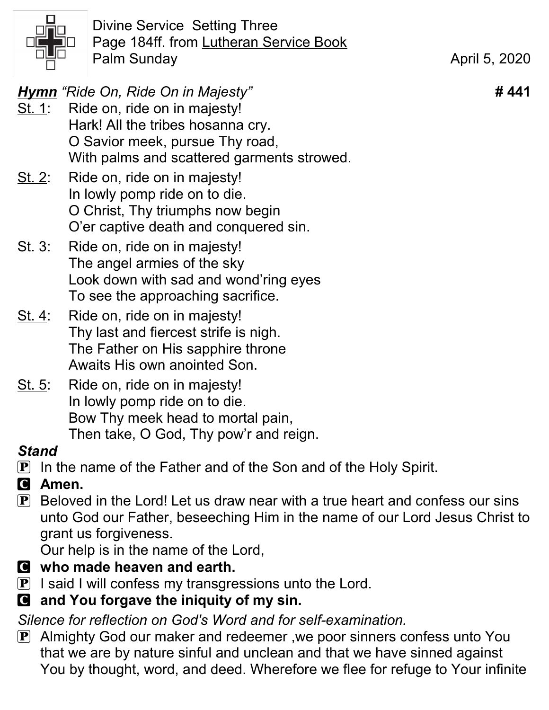

Divine Service Setting Three Page 184ff. from Lutheran Service Book Palm Sunday **April 5, 2020** 

Hymn "Ride On, Ride On in Majesty" **# 441** 

- St. 1: Ride on, ride on in majesty! Hark! All the tribes hosanna cry. O Savior meek, pursue Thy road, With palms and scattered garments strowed.
- St. 2: Ride on, ride on in majesty! In lowly pomp ride on to die. O Christ, Thy triumphs now begin O'er captive death and conquered sin.
- St. 3: Ride on, ride on in majesty! The angel armies of the sky Look down with sad and wond'ring eyes To see the approaching sacrifice.
- St. 4: Ride on, ride on in majesty! Thy last and fiercest strife is nigh. The Father on His sapphire throne Awaits His own anointed Son.
- St. 5: Ride on, ride on in majesty! In lowly pomp ride on to die. Bow Thy meek head to mortal pain, Then take, O God, Thy pow'r and reign.

### **Stand**

- **P** In the name of the Father and of the Son and of the Holy Spirit.
- C Amen.
- $\bf{P}$  Beloved in the Lord! Let us draw near with a true heart and confess our sins unto God our Father, beseeching Him in the name of our Lord Jesus Christ to grant us forgiveness.

Our help is in the name of the Lord,

- C who made heaven and earth.
- $\mathbf{P}$  I said I will confess my transgressions unto the Lord.
- C and You forgave the iniquity of my sin.

Silence for reflection on God's Word and for self-examination.

P Almighty God our maker and redeemer ,we poor sinners confess unto You that we are by nature sinful and unclean and that we have sinned against You by thought, word, and deed. Wherefore we flee for refuge to Your infinite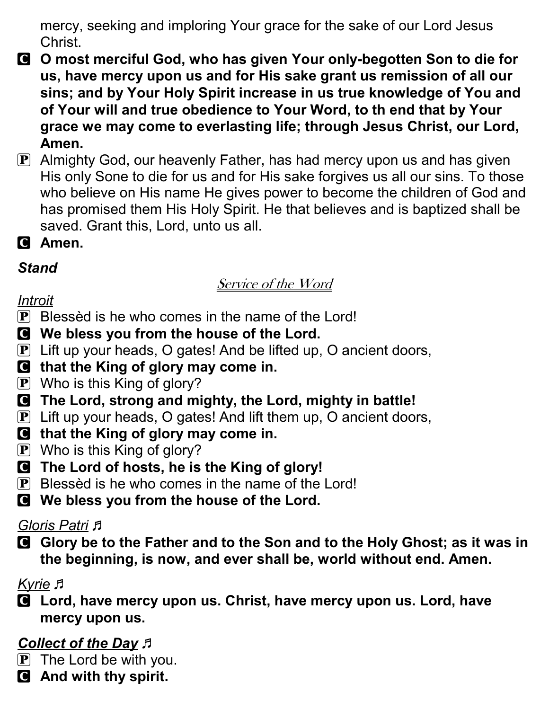mercy, seeking and imploring Your grace for the sake of our Lord Jesus Christ.

- C O most merciful God, who has given Your only-begotten Son to die for us, have mercy upon us and for His sake grant us remission of all our sins; and by Your Holy Spirit increase in us true knowledge of You and of Your will and true obedience to Your Word, to th end that by Your grace we may come to everlasting life; through Jesus Christ, our Lord, Amen.
- P Almighty God, our heavenly Father, has had mercy upon us and has given His only Sone to die for us and for His sake forgives us all our sins. To those who believe on His name He gives power to become the children of God and has promised them His Holy Spirit. He that believes and is baptized shall be saved. Grant this, Lord, unto us all.
- **Q** Amen.

### **Stand**

### Service of the Word

### Introit

- $\bf{P}$  Blessèd is he who comes in the name of the Lord!
- C We bless you from the house of the Lord.
- P Lift up your heads, O gates! And be lifted up, O ancient doors,
- C that the King of glory may come in.
- $\left| \mathbf{P} \right|$  Who is this King of glory?
- C The Lord, strong and mighty, the Lord, mighty in battle!
- P Lift up your heads, O gates! And lift them up, O ancient doors,
- C that the King of glory may come in.
- $\mathbf{P}$  Who is this King of glory?
- C The Lord of hosts, he is the King of glory!
- $\bf{P}$  Blessèd is he who comes in the name of the Lord!
- C We bless you from the house of the Lord.

### Gloris Patri *F*

C Glory be to the Father and to the Son and to the Holy Ghost; as it was in the beginning, is now, and ever shall be, world without end. Amen.

### Kyrie F

C Lord, have mercy upon us. Christ, have mercy upon us. Lord, have mercy upon us.

# Collect of the Day  $\beta$

- $\overline{P}$  The Lord be with you.
- C And with thy spirit.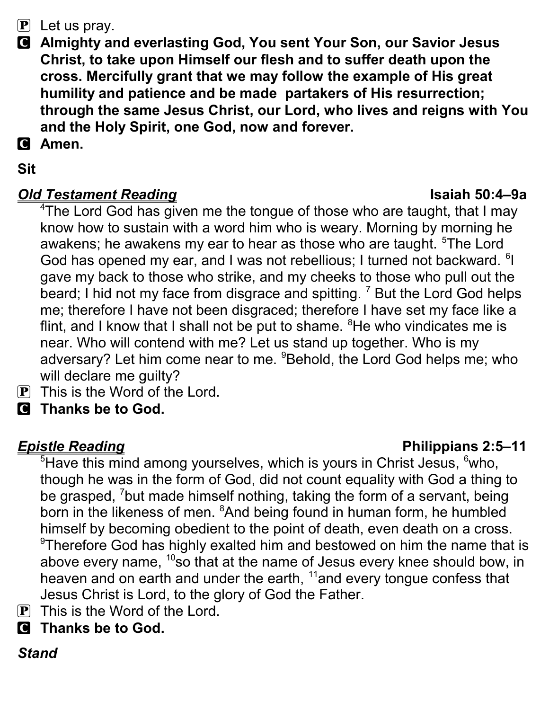### $\mathbf{P}$  Let us pray.

- C Almighty and everlasting God, You sent Your Son, our Savior Jesus Christ, to take upon Himself our flesh and to suffer death upon the cross. Mercifully grant that we may follow the example of His great humility and patience and be made partakers of His resurrection; through the same Jesus Christ, our Lord, who lives and reigns with You and the Holy Spirit, one God, now and forever.
- **C** Amen.

### Sit

### **Old Testament Reading Isaiah 50:4–9a**

<sup>4</sup>The Lord God has given me the tongue of those who are taught, that I may know how to sustain with a word him who is weary. Morning by morning he awakens; he awakens my ear to hear as those who are taught. <sup>5</sup>The Lord God has opened my ear, and I was not rebellious; I turned not backward. <sup>6</sup>I gave my back to those who strike, and my cheeks to those who pull out the beard; I hid not my face from disgrace and spitting.  $^7$  But the Lord God helps me; therefore I have not been disgraced; therefore I have set my face like a flint, and I know that I shall not be put to shame.  ${}^{8}$ He who vindicates me is near. Who will contend with me? Let us stand up together. Who is my adversary? Let him come near to me. <sup>9</sup>Behold, the Lord God helps me; who will declare me guilty?

- $\overline{P}$  This is the Word of the Lord.
- C Thanks be to God.

**Epistle Reading Contract Contract Contract Contract Contract Contract Contract Contract Contract Contract Contract Contract Contract Contract Contract Contract Contract Contract Contract Contract Contract Contract Contrac**  $5$ Have this mind among yourselves, which is yours in Christ Jesus,  $6$ who, though he was in the form of God, did not count equality with God a thing to be grasped, <sup>7</sup>but made himself nothing, taking the form of a servant, being born in the likeness of men. <sup>8</sup>And being found in human form, he humbled himself by becoming obedient to the point of death, even death on a cross.  $\textdegree$ Therefore God has highly exalted him and bestowed on him the name that is above every name, <sup>10</sup>so that at the name of Jesus every knee should bow, in

- heaven and on earth and under the earth,  $11$  and every tongue confess that Jesus Christ is Lord, to the glory of God the Father.
- $\overline{P}$  This is the Word of the Lord.
- C Thanks be to God.

### Stand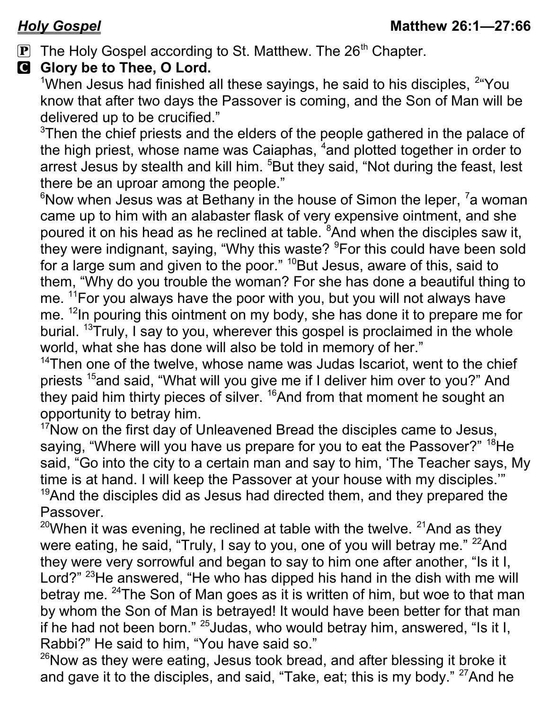$\mathbf{P}$  The Holy Gospel according to St. Matthew. The 26<sup>th</sup> Chapter.

### G Glory be to Thee, O Lord.

<sup>1</sup>When Jesus had finished all these sayings, he said to his disciples,  $2^u$ You know that after two days the Passover is coming, and the Son of Man will be delivered up to be crucified."

<sup>3</sup>Then the chief priests and the elders of the people gathered in the palace of the high priest, whose name was Caiaphas, <sup>4</sup>and plotted together in order to arrest Jesus by stealth and kill him. <sup>5</sup>But they said, "Not during the feast, lest there be an uproar among the people."

 $6$ Now when Jesus was at Bethany in the house of Simon the leper,  $7$  a woman came up to him with an alabaster flask of very expensive ointment, and she poured it on his head as he reclined at table. <sup>8</sup>And when the disciples saw it, they were indignant, saying, "Why this waste? <sup>9</sup>For this could have been sold for a large sum and given to the poor." <sup>10</sup>But Jesus, aware of this, said to them, "Why do you trouble the woman? For she has done a beautiful thing to me. <sup>11</sup>For you always have the poor with you, but you will not always have me. <sup>12</sup>In pouring this ointment on my body, she has done it to prepare me for burial. <sup>13</sup>Truly, I say to you, wherever this gospel is proclaimed in the whole world, what she has done will also be told in memory of her."

 $14$ Then one of the twelve, whose name was Judas Iscariot, went to the chief priests <sup>15</sup>and said, "What will you give me if I deliver him over to you?" And they paid him thirty pieces of silver. <sup>16</sup>And from that moment he sought an opportunity to betray him.

 $17$ Now on the first day of Unleavened Bread the disciples came to Jesus, saying, "Where will you have us prepare for you to eat the Passover?" <sup>18</sup>He said, "Go into the city to a certain man and say to him, 'The Teacher says, My time is at hand. I will keep the Passover at your house with my disciples.'"  $19$ And the disciples did as Jesus had directed them, and they prepared the Passover.

<sup>20</sup>When it was evening, he reclined at table with the twelve. <sup>21</sup>And as they were eating, he said, "Truly, I say to you, one of you will betray me." <sup>22</sup>And they were very sorrowful and began to say to him one after another, "Is it I, Lord?" <sup>23</sup>He answered, "He who has dipped his hand in the dish with me will betray me. <sup>24</sup>The Son of Man goes as it is written of him, but woe to that man by whom the Son of Man is betrayed! It would have been better for that man if he had not been born." <sup>25</sup> Judas, who would betray him, answered, "Is it I, Rabbi?" He said to him, "You have said so."

 $26$ Now as they were eating, Jesus took bread, and after blessing it broke it and gave it to the disciples, and said, "Take, eat; this is my body."  $27$ And he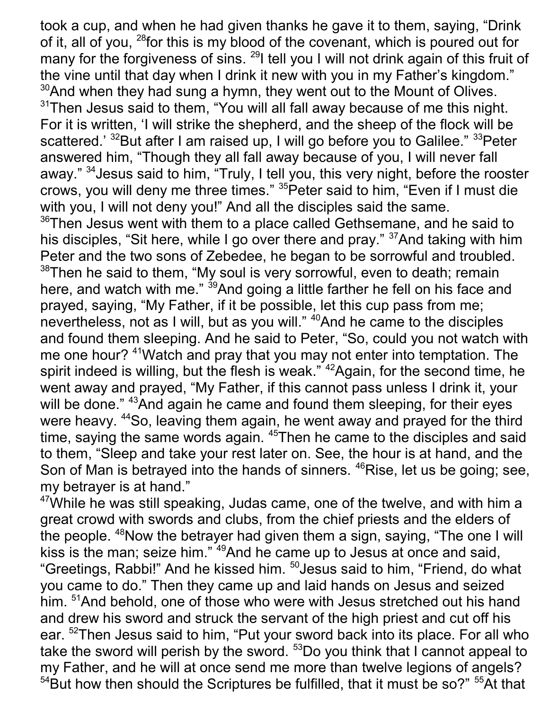took a cup, and when he had given thanks he gave it to them, saying, "Drink of it, all of you, <sup>28</sup> for this is my blood of the covenant, which is poured out for many for the forgiveness of sins. <sup>29</sup>I tell you I will not drink again of this fruit of the vine until that day when I drink it new with you in my Father's kingdom."  $30$ And when they had sung a hymn, they went out to the Mount of Olives.  $31$ Then Jesus said to them, "You will all fall away because of me this night. For it is written, 'I will strike the shepherd, and the sheep of the flock will be scattered.' <sup>32</sup>But after I am raised up, I will go before you to Galilee." <sup>33</sup>Peter answered him, "Though they all fall away because of you, I will never fall away." <sup>34</sup> Jesus said to him, "Truly, I tell you, this very night, before the rooster crows, you will deny me three times." <sup>35</sup> Peter said to him, "Even if I must die with you, I will not deny you!" And all the disciples said the same.  $36$ Then Jesus went with them to a place called Gethsemane, and he said to his disciples, "Sit here, while I go over there and pray." <sup>37</sup>And taking with him Peter and the two sons of Zebedee, he began to be sorrowful and troubled.  $38$ Then he said to them, "My soul is very sorrowful, even to death; remain here, and watch with me." <sup>39</sup>And going a little farther he fell on his face and prayed, saying, "My Father, if it be possible, let this cup pass from me; nevertheless, not as I will, but as you will." <sup>40</sup>And he came to the disciples and found them sleeping. And he said to Peter, "So, could you not watch with me one hour? <sup>41</sup> Watch and pray that you may not enter into temptation. The spirit indeed is willing, but the flesh is weak." <sup>42</sup>Again, for the second time, he went away and prayed, "My Father, if this cannot pass unless I drink it, your will be done." <sup>43</sup>And again he came and found them sleeping, for their eyes were heavy. <sup>44</sup>So, leaving them again, he went away and prayed for the third time, saying the same words again. <sup>45</sup>Then he came to the disciples and said to them, "Sleep and take your rest later on. See, the hour is at hand, and the Son of Man is betrayed into the hands of sinners. <sup>46</sup>Rise, let us be going; see, my betrayer is at hand."

 $47$ While he was still speaking, Judas came, one of the twelve, and with him a great crowd with swords and clubs, from the chief priests and the elders of the people.  $48$ Now the betrayer had given them a sign, saying, "The one I will kiss is the man; seize him."<sup>49</sup>And he came up to Jesus at once and said, "Greetings, Rabbi!" And he kissed him. <sup>50</sup>Jesus said to him, "Friend, do what you came to do." Then they came up and laid hands on Jesus and seized him. <sup>51</sup>And behold, one of those who were with Jesus stretched out his hand and drew his sword and struck the servant of the high priest and cut off his ear. <sup>52</sup>Then Jesus said to him, "Put your sword back into its place. For all who take the sword will perish by the sword.  $53$ Do you think that I cannot appeal to my Father, and he will at once send me more than twelve legions of angels?  $54$ But how then should the Scriptures be fulfilled, that it must be so?"  $55$ At that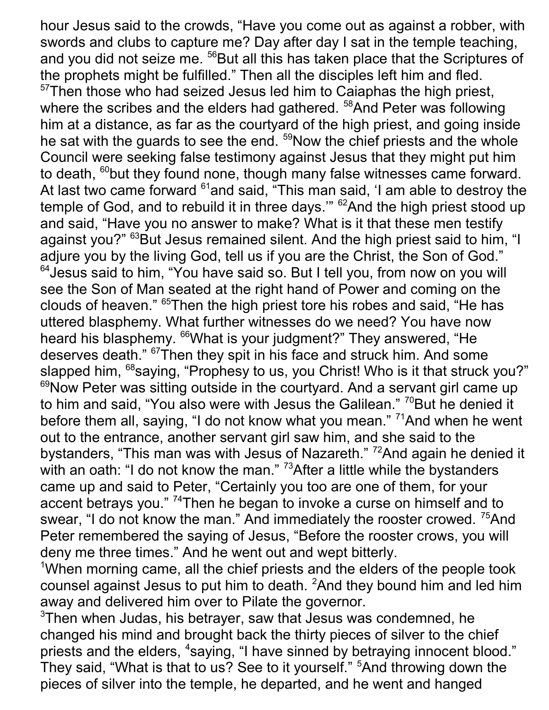hour Jesus said to the crowds, "Have you come out as against a robber, with swords and clubs to capture me? Day after day I sat in the temple teaching, and you did not seize me. <sup>56</sup>But all this has taken place that the Scriptures of the prophets might be fulfilled." Then all the disciples left him and fled.  $57$ Then those who had seized Jesus led him to Caiaphas the high priest, where the scribes and the elders had gathered. <sup>58</sup>And Peter was following him at a distance, as far as the courtyard of the high priest, and going inside he sat with the guards to see the end. <sup>59</sup>Now the chief priests and the whole Council were seeking false testimony against Jesus that they might put him to death, <sup>60</sup>but they found none, though many false witnesses came forward. At last two came forward <sup>61</sup>and said, "This man said, 'I am able to destroy the temple of God, and to rebuild it in three days." <sup>62</sup>And the high priest stood up and said, "Have you no answer to make? What is it that these men testify against you?" <sup>63</sup>But Jesus remained silent. And the high priest said to him, "I adjure you by the living God, tell us if you are the Christ, the Son of God." <sup>64</sup> Jesus said to him, "You have said so. But I tell you, from now on you will see the Son of Man seated at the right hand of Power and coming on the clouds of heaven." <sup>65</sup>Then the high priest tore his robes and said, "He has uttered blasphemy. What further witnesses do we need? You have now heard his blasphemy. <sup>66</sup>What is your judgment?" They answered, "He deserves death." <sup>67</sup>Then they spit in his face and struck him. And some slapped him, <sup>68</sup>saying, "Prophesy to us, you Christ! Who is it that struck you?" <sup>69</sup>Now Peter was sitting outside in the courtyard. And a servant girl came up to him and said, "You also were with Jesus the Galilean." <sup>70</sup>But he denied it before them all, saying, "I do not know what you mean." <sup>71</sup>And when he went out to the entrance, another servant girl saw him, and she said to the bystanders, "This man was with Jesus of Nazareth." <sup>72</sup>And again he denied it with an oath: "I do not know the man."  $73$ After a little while the bystanders came up and said to Peter, "Certainly you too are one of them, for your accent betrays you."<sup>74</sup>Then he began to invoke a curse on himself and to swear, "I do not know the man." And immediately the rooster crowed. <sup>75</sup>And Peter remembered the saying of Jesus, "Before the rooster crows, you will deny me three times." And he went out and wept bitterly.

<sup>1</sup>When morning came, all the chief priests and the elders of the people took counsel against Jesus to put him to death. <sup>2</sup>And they bound him and led him away and delivered him over to Pilate the governor.

 $3$ Then when Judas, his betrayer, saw that Jesus was condemned, he changed his mind and brought back the thirty pieces of silver to the chief priests and the elders, <sup>4</sup>saying, "I have sinned by betraying innocent blood." They said, "What is that to us? See to it yourself." <sup>5</sup>And throwing down the pieces of silver into the temple, he departed, and he went and hanged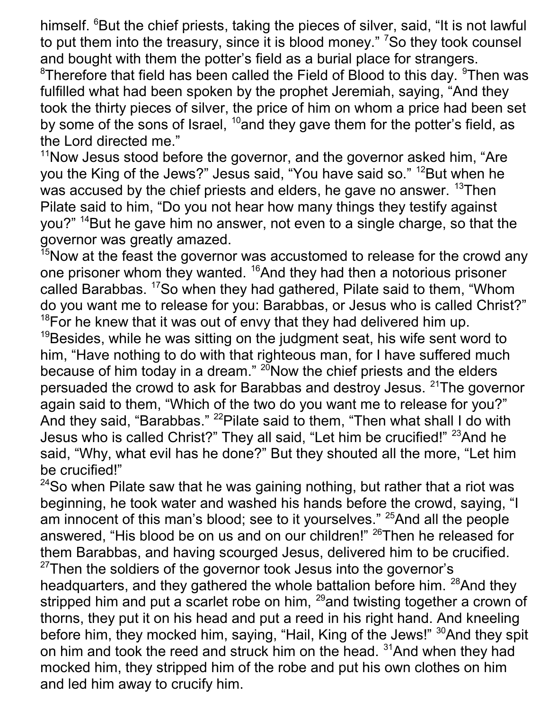himself. <sup>6</sup>But the chief priests, taking the pieces of silver, said, "It is not lawful to put them into the treasury, since it is blood money." <sup>7</sup>So they took counsel and bought with them the potter's field as a burial place for strangers.

 ${}^{8}$ Therefore that field has been called the Field of Blood to this day.  ${}^{9}$ Then was fulfilled what had been spoken by the prophet Jeremiah, saying, "And they took the thirty pieces of silver, the price of him on whom a price had been set by some of the sons of Israel,  $^{10}$ and they gave them for the potter's field, as the Lord directed me."

 $11$ Now Jesus stood before the governor, and the governor asked him, "Are you the King of the Jews?" Jesus said, "You have said so." <sup>12</sup>But when he was accused by the chief priests and elders, he gave no answer. <sup>13</sup>Then Pilate said to him, "Do you not hear how many things they testify against you?" <sup>14</sup>But he gave him no answer, not even to a single charge, so that the governor was greatly amazed.

 $15$ Now at the feast the governor was accustomed to release for the crowd any one prisoner whom they wanted. <sup>16</sup>And they had then a notorious prisoner called Barabbas. <sup>17</sup>So when they had gathered, Pilate said to them, "Whom do you want me to release for you: Barabbas, or Jesus who is called Christ?"  $18$  For he knew that it was out of envy that they had delivered him up.  $19$ Besides, while he was sitting on the judgment seat, his wife sent word to him, "Have nothing to do with that righteous man, for I have suffered much because of him today in a dream."  $^{20}$  Now the chief priests and the elders persuaded the crowd to ask for Barabbas and destroy Jesus. <sup>21</sup>The governor again said to them, "Which of the two do you want me to release for you?" And they said, "Barabbas." <sup>22</sup>Pilate said to them, "Then what shall I do with Jesus who is called Christ?" They all said, "Let him be crucified!" <sup>23</sup>And he said, "Why, what evil has he done?" But they shouted all the more, "Let him be crucified!"

 $24$ So when Pilate saw that he was gaining nothing, but rather that a riot was beginning, he took water and washed his hands before the crowd, saying, "I am innocent of this man's blood; see to it yourselves." <sup>25</sup>And all the people answered, "His blood be on us and on our children!" <sup>26</sup>Then he released for them Barabbas, and having scourged Jesus, delivered him to be crucified.  $27$ Then the soldiers of the governor took Jesus into the governor's headquarters, and they gathered the whole battalion before him. <sup>28</sup>And they stripped him and put a scarlet robe on him,  $^{29}$  and twisting together a crown of thorns, they put it on his head and put a reed in his right hand. And kneeling before him, they mocked him, saying, "Hail, King of the Jews!" <sup>30</sup>And they spit on him and took the reed and struck him on the head. <sup>31</sup>And when they had mocked him, they stripped him of the robe and put his own clothes on him and led him away to crucify him.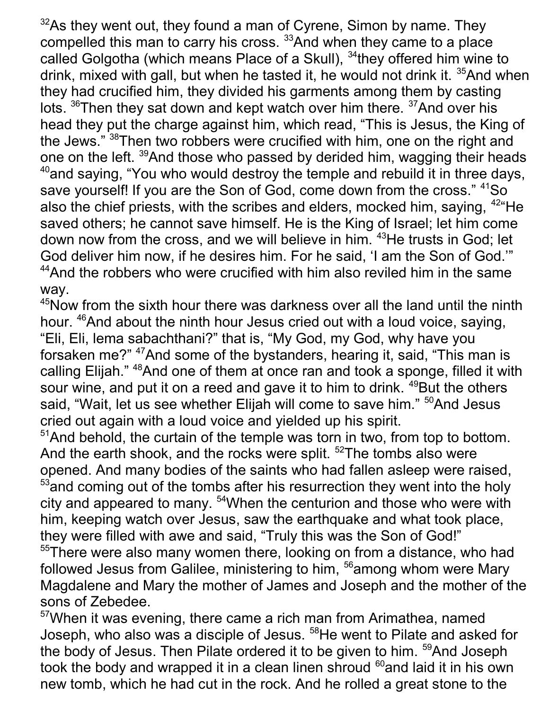$32$ As they went out, they found a man of Cyrene, Simon by name. They compelled this man to carry his cross. <sup>33</sup>And when they came to a place called Golgotha (which means Place of a Skull), <sup>34</sup>they offered him wine to drink, mixed with gall, but when he tasted it, he would not drink it. <sup>35</sup>And when they had crucified him, they divided his garments among them by casting lots.  $36$ Then they sat down and kept watch over him there.  $37$ And over his head they put the charge against him, which read, "This is Jesus, the King of the Jews." 38Then two robbers were crucified with him, one on the right and one on the left. <sup>39</sup>And those who passed by derided him, wagging their heads  $40$ and saying, "You who would destroy the temple and rebuild it in three days, save yourself! If you are the Son of God, come down from the cross." <sup>41</sup>So also the chief priests, with the scribes and elders, mocked him, saying, <sup>42</sup> He saved others; he cannot save himself. He is the King of Israel; let him come down now from the cross, and we will believe in him. <sup>43</sup>He trusts in God; let God deliver him now, if he desires him. For he said, 'I am the Son of God.'"  $44$ And the robbers who were crucified with him also reviled him in the same way.

<sup>45</sup>Now from the sixth hour there was darkness over all the land until the ninth hour. <sup>46</sup>And about the ninth hour Jesus cried out with a loud voice, saying, "Eli, Eli, lema sabachthani?" that is, "My God, my God, why have you forsaken me?" <sup>47</sup>And some of the bystanders, hearing it, said, "This man is calling Elijah." <sup>48</sup>And one of them at once ran and took a sponge, filled it with sour wine, and put it on a reed and gave it to him to drink.  $49$ But the others said, "Wait, let us see whether Elijah will come to save him." <sup>50</sup>And Jesus cried out again with a loud voice and yielded up his spirit.

 $51$ And behold, the curtain of the temple was torn in two, from top to bottom. And the earth shook, and the rocks were split. <sup>52</sup>The tombs also were opened. And many bodies of the saints who had fallen asleep were raised,  $53$  and coming out of the tombs after his resurrection they went into the holy city and appeared to many. <sup>54</sup>When the centurion and those who were with him, keeping watch over Jesus, saw the earthquake and what took place, they were filled with awe and said, "Truly this was the Son of God!"

<sup>55</sup>There were also many women there, looking on from a distance, who had followed Jesus from Galilee, ministering to him, <sup>56</sup>among whom were Mary Magdalene and Mary the mother of James and Joseph and the mother of the sons of Zebedee.

 $57$ When it was evening, there came a rich man from Arimathea, named Joseph, who also was a disciple of Jesus. <sup>58</sup>He went to Pilate and asked for the body of Jesus. Then Pilate ordered it to be given to him. <sup>59</sup>And Joseph took the body and wrapped it in a clean linen shroud <sup>60</sup>and laid it in his own new tomb, which he had cut in the rock. And he rolled a great stone to the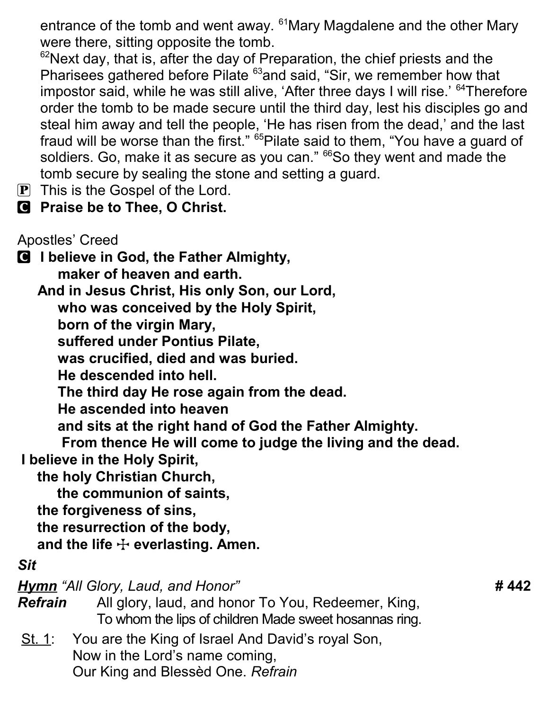entrance of the tomb and went away. <sup>61</sup>Mary Magdalene and the other Mary were there, sitting opposite the tomb.

 $62$ Next day, that is, after the day of Preparation, the chief priests and the Pharisees gathered before Pilate <sup>63</sup>and said, "Sir, we remember how that impostor said, while he was still alive, 'After three days I will rise.' <sup>64</sup>Therefore order the tomb to be made secure until the third day, lest his disciples go and steal him away and tell the people, 'He has risen from the dead,' and the last fraud will be worse than the first." <sup>65</sup>Pilate said to them, "You have a guard of soldiers. Go, make it as secure as you can." <sup>66</sup>So they went and made the tomb secure by sealing the stone and setting a guard.

- $\boxed{\mathbf{P}}$  This is the Gospel of the Lord.
- **C** Praise be to Thee, O Christ.

Apostles' Creed

C I believe in God, the Father Almighty, maker of heaven and earth. And in Jesus Christ, His only Son, our Lord,

who was conceived by the Holy Spirit,

born of the virgin Mary,

suffered under Pontius Pilate,

was crucified, died and was buried.

He descended into hell.

The third day He rose again from the dead.

He ascended into heaven

and sits at the right hand of God the Father Almighty.

 From thence He will come to judge the living and the dead. I believe in the Holy Spirit,

the holy Christian Church,

the communion of saints,

the forgiveness of sins,

the resurrection of the body,

and the life  $\div$  everlasting. Amen.

### Sit

Hymn "All Glory, Laud, and Honor" **# 442** 

Refrain All glory, laud, and honor To You, Redeemer, King, To whom the lips of children Made sweet hosannas ring.

St. 1: You are the King of Israel And David's royal Son, Now in the Lord's name coming, Our King and Blessèd One. Refrain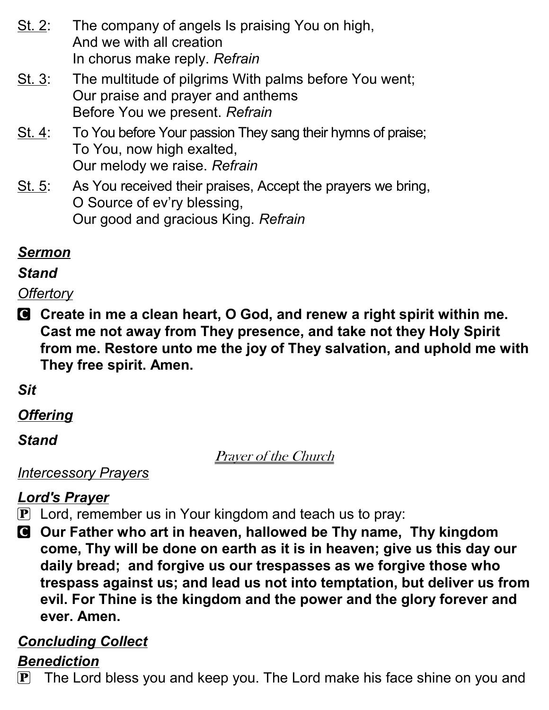- St. 2: The company of angels Is praising You on high, And we with all creation In chorus make reply. Refrain
- St. 3: The multitude of pilgrims With palms before You went; Our praise and prayer and anthems Before You we present. Refrain
- St. 4: To You before Your passion They sang their hymns of praise; To You, now high exalted, Our melody we raise. Refrain
- St. 5: As You received their praises, Accept the prayers we bring, O Source of ev'ry blessing, Our good and gracious King. Refrain

# Sermon

### **Stand**

# **Offertory**

C Create in me a clean heart, O God, and renew a right spirit within me. Cast me not away from They presence, and take not they Holy Spirit from me. Restore unto me the joy of They salvation, and uphold me with They free spirit. Amen.

# Sit

# **Offering**

# **Stand**

Prayer of the Church

# **Intercessory Prayers**

# Lord's Prayer

- **P** Lord, remember us in Your kingdom and teach us to pray:
- C Our Father who art in heaven, hallowed be Thy name, Thy kingdom come, Thy will be done on earth as it is in heaven; give us this day our daily bread; and forgive us our trespasses as we forgive those who trespass against us; and lead us not into temptation, but deliver us from evil. For Thine is the kingdom and the power and the glory forever and ever. Amen.

# Concluding Collect

# **Benediction**

 $\mathbf{P}$  The Lord bless you and keep you. The Lord make his face shine on you and